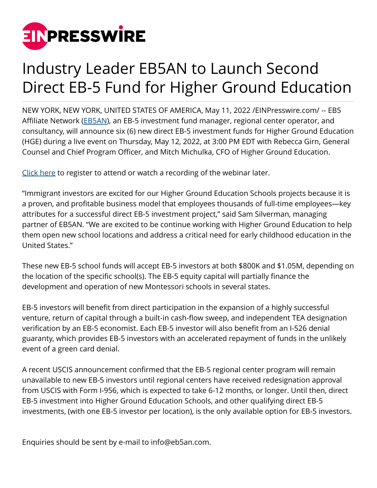

## Industry Leader EB5AN to Launch Second Direct EB-5 Fund for Higher Ground Education

NEW YORK, NEW YORK, UNITED STATES OF AMERICA, May 11, 2022 [/EINPresswire.com/](http://www.einpresswire.com) -- EB5 Affiliate Network ([EB5AN\)](https://eb5visainvestments.com), an EB-5 investment fund manager, regional center operator, and consultancy, will announce six (6) new direct EB-5 investment funds for Higher Ground Education (HGE) during a live event on Thursday, May 12, 2022, at 3:00 PM EDT with Rebecca Girn, General Counsel and Chief Program Officer, and Mitch Michulka, CFO of Higher Ground Education.

[Click here](https://attendee.gotowebinar.com/register/8526696603521597963?source=PR) to register to attend or watch a recording of the webinar later.

"Immigrant investors are excited for our Higher Ground Education Schools projects because it is a proven, and profitable business model that employees thousands of full-time employees—key attributes for a successful direct EB-5 investment project," said Sam Silverman, managing partner of EB5AN. "We are excited to be continue working with Higher Ground Education to help them open new school locations and address a critical need for early childhood education in the United States."

These new EB-5 school funds will accept EB-5 investors at both \$800K and \$1.05M, depending on the location of the specific school(s). The EB-5 equity capital will partially finance the development and operation of new Montessori schools in several states.

EB-5 investors will benefit from direct participation in the expansion of a highly successful venture, return of capital through a built-in cash-flow sweep, and independent TEA designation verification by an EB-5 economist. Each EB-5 investor will also benefit from an I-526 denial guaranty, which provides EB-5 investors with an accelerated repayment of funds in the unlikely event of a green card denial.

A recent USCIS announcement confirmed that the EB-5 regional center program will remain unavailable to new EB-5 investors until regional centers have received redesignation approval from USCIS with Form I-956, which is expected to take 6-12 months, or longer. Until then, direct EB-5 investment into Higher Ground Education Schools, and other qualifying direct EB-5 investments, (with one EB-5 investor per location), is the only available option for EB-5 investors.

Enquiries should be sent by e-mail to info@eb5an.com.